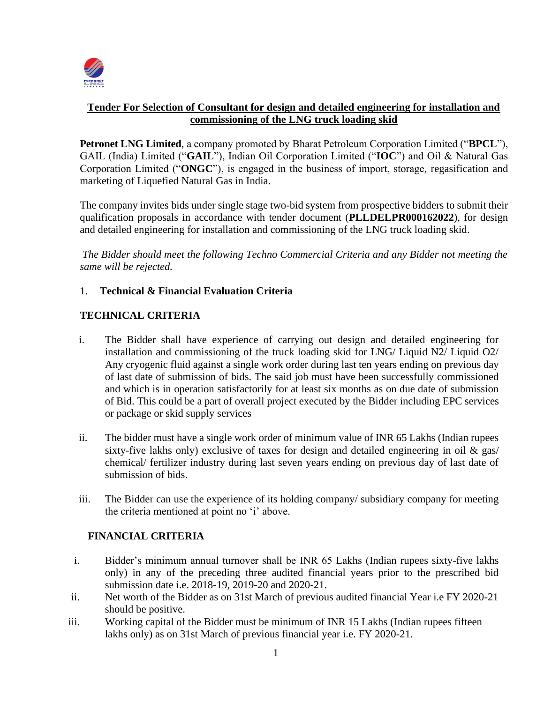

### **Tender For Selection of Consultant for design and detailed engineering for installation and commissioning of the LNG truck loading skid**

**Petronet LNG Limited**, a company promoted by Bharat Petroleum Corporation Limited ("**BPCL**"), GAIL (India) Limited ("**GAIL**"), Indian Oil Corporation Limited ("**IOC**") and Oil & Natural Gas Corporation Limited ("**ONGC**"), is engaged in the business of import, storage, regasification and marketing of Liquefied Natural Gas in India.

The company invites bids under single stage two-bid system from prospective bidders to submit their qualification proposals in accordance with tender document (**PLLDELPR000162022**), for design and detailed engineering for installation and commissioning of the LNG truck loading skid.

*The Bidder should meet the following Techno Commercial Criteria and any Bidder not meeting the same will be rejected.*

### 1. **Technical & Financial Evaluation Criteria**

## **TECHNICAL CRITERIA**

- i. The Bidder shall have experience of carrying out design and detailed engineering for installation and commissioning of the truck loading skid for LNG/ Liquid N2/ Liquid O2/ Any cryogenic fluid against a single work order during last ten years ending on previous day of last date of submission of bids. The said job must have been successfully commissioned and which is in operation satisfactorily for at least six months as on due date of submission of Bid. This could be a part of overall project executed by the Bidder including EPC services or package or skid supply services
- ii. The bidder must have a single work order of minimum value of INR 65 Lakhs (Indian rupees sixty-five lakhs only) exclusive of taxes for design and detailed engineering in oil  $\&$  gas/ chemical/ fertilizer industry during last seven years ending on previous day of last date of submission of bids.
- iii. The Bidder can use the experience of its holding company/ subsidiary company for meeting the criteria mentioned at point no 'i' above.

### **FINANCIAL CRITERIA**

- i. Bidder's minimum annual turnover shall be INR 65 Lakhs (Indian rupees sixty-five lakhs only) in any of the preceding three audited financial years prior to the prescribed bid submission date i.e. 2018-19, 2019-20 and 2020-21.
- ii. Net worth of the Bidder as on 31st March of previous audited financial Year i.e FY 2020-21 should be positive.
- iii. Working capital of the Bidder must be minimum of INR 15 Lakhs (Indian rupees fifteen lakhs only) as on 31st March of previous financial year i.e. FY 2020-21.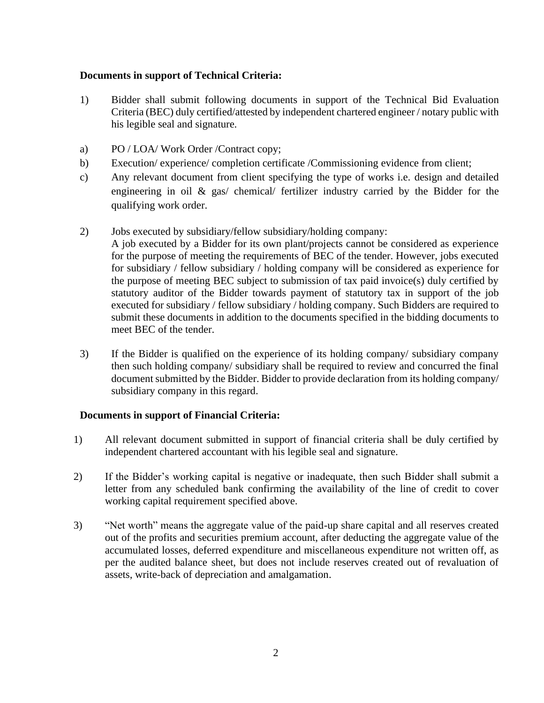#### **Documents in support of Technical Criteria:**

- 1) Bidder shall submit following documents in support of the Technical Bid Evaluation Criteria (BEC) duly certified/attested by independent chartered engineer / notary public with his legible seal and signature.
- a) PO / LOA/ Work Order /Contract copy;
- b) Execution/ experience/ completion certificate /Commissioning evidence from client;
- c) Any relevant document from client specifying the type of works i.e. design and detailed engineering in oil & gas/ chemical/ fertilizer industry carried by the Bidder for the qualifying work order.
- 2) Jobs executed by subsidiary/fellow subsidiary/holding company:
	- A job executed by a Bidder for its own plant/projects cannot be considered as experience for the purpose of meeting the requirements of BEC of the tender. However, jobs executed for subsidiary / fellow subsidiary / holding company will be considered as experience for the purpose of meeting BEC subject to submission of tax paid invoice(s) duly certified by statutory auditor of the Bidder towards payment of statutory tax in support of the job executed for subsidiary / fellow subsidiary / holding company. Such Bidders are required to submit these documents in addition to the documents specified in the bidding documents to meet BEC of the tender.
- 3) If the Bidder is qualified on the experience of its holding company/ subsidiary company then such holding company/ subsidiary shall be required to review and concurred the final document submitted by the Bidder. Bidder to provide declaration from its holding company/ subsidiary company in this regard.

#### **Documents in support of Financial Criteria:**

- 1) All relevant document submitted in support of financial criteria shall be duly certified by independent chartered accountant with his legible seal and signature.
- 2) If the Bidder's working capital is negative or inadequate, then such Bidder shall submit a letter from any scheduled bank confirming the availability of the line of credit to cover working capital requirement specified above.
- 3) "Net worth" means the aggregate value of the paid-up share capital and all reserves created out of the profits and securities premium account, after deducting the aggregate value of the accumulated losses, deferred expenditure and miscellaneous expenditure not written off, as per the audited balance sheet, but does not include reserves created out of revaluation of assets, write-back of depreciation and amalgamation.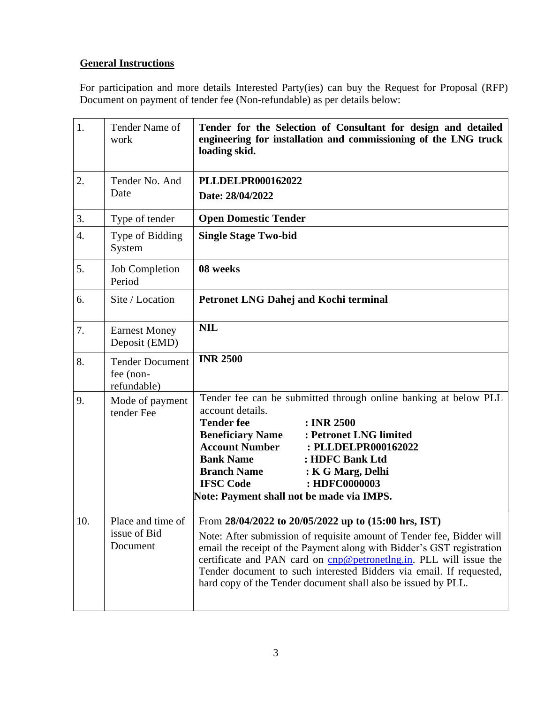# **General Instructions**

For participation and more details Interested Party(ies) can buy the Request for Proposal (RFP) Document on payment of tender fee (Non-refundable) as per details below:

| 1.  | Tender Name of<br>work                             | Tender for the Selection of Consultant for design and detailed<br>engineering for installation and commissioning of the LNG truck<br>loading skid.                                                                                                                                                                                                                                                                   |
|-----|----------------------------------------------------|----------------------------------------------------------------------------------------------------------------------------------------------------------------------------------------------------------------------------------------------------------------------------------------------------------------------------------------------------------------------------------------------------------------------|
| 2.  | Tender No. And<br>Date                             | PLLDELPR000162022<br>Date: 28/04/2022                                                                                                                                                                                                                                                                                                                                                                                |
| 3.  | Type of tender                                     | <b>Open Domestic Tender</b>                                                                                                                                                                                                                                                                                                                                                                                          |
| 4.  | Type of Bidding<br>System                          | <b>Single Stage Two-bid</b>                                                                                                                                                                                                                                                                                                                                                                                          |
| 5.  | <b>Job Completion</b><br>Period                    | 08 weeks                                                                                                                                                                                                                                                                                                                                                                                                             |
| 6.  | Site / Location                                    | <b>Petronet LNG Dahej and Kochi terminal</b>                                                                                                                                                                                                                                                                                                                                                                         |
| 7.  | <b>Earnest Money</b><br>Deposit (EMD)              | <b>NIL</b>                                                                                                                                                                                                                                                                                                                                                                                                           |
| 8.  | <b>Tender Document</b><br>fee (non-<br>refundable) | <b>INR 2500</b>                                                                                                                                                                                                                                                                                                                                                                                                      |
| 9.  | Mode of payment<br>tender Fee                      | Tender fee can be submitted through online banking at below PLL<br>account details.<br><b>Tender fee</b><br>: INR 2500<br><b>Beneficiary Name</b><br>: Petronet LNG limited<br><b>Account Number</b><br>: PLLDELPR000162022<br><b>Bank Name</b><br>: HDFC Bank Ltd<br><b>Branch Name</b><br>: K G Marg, Delhi<br><b>IFSC Code</b><br>: HDFC0000003<br>Note: Payment shall not be made via IMPS.                      |
| 10. | Place and time of<br>issue of Bid<br>Document      | From 28/04/2022 to 20/05/2022 up to (15:00 hrs, IST)<br>Note: After submission of requisite amount of Tender fee, Bidder will<br>email the receipt of the Payment along with Bidder's GST registration<br>certificate and PAN card on cnp@petronetlng.in. PLL will issue the<br>Tender document to such interested Bidders via email. If requested,<br>hard copy of the Tender document shall also be issued by PLL. |